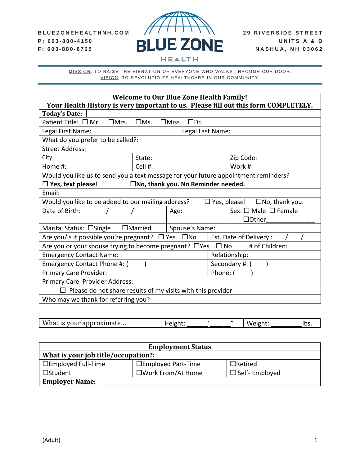

| <b>Welcome to Our Blue Zone Health Family!</b><br>Your Health History is very important to us. Please fill out this form COMPLETELY. |                                              |                                           |
|--------------------------------------------------------------------------------------------------------------------------------------|----------------------------------------------|-------------------------------------------|
| <b>Today's Date:</b>                                                                                                                 |                                              |                                           |
| Patient Title: $\square$ Mr.<br>$\square$ Mrs.<br>$\Box$ Ms.                                                                         | $\Box$ Miss<br>□Dr.                          |                                           |
| Legal First Name:                                                                                                                    | Legal Last Name:                             |                                           |
| What do you prefer to be called?:                                                                                                    |                                              |                                           |
| <b>Street Address:</b>                                                                                                               |                                              |                                           |
| City:<br>State:                                                                                                                      |                                              | Zip Code:                                 |
| Cell #:<br>Home $#$ :                                                                                                                |                                              | Work #:                                   |
| Would you like us to send you a text message for your future appointment reminders?                                                  |                                              |                                           |
| $\Box$ Yes, text please!                                                                                                             | $\square$ No, thank you. No Reminder needed. |                                           |
| Email:                                                                                                                               |                                              |                                           |
| Would you like to be added to our mailing address?                                                                                   |                                              | $\Box$ Yes, please! $\Box$ No, thank you. |
| Date of Birth:                                                                                                                       | Age:                                         | Sex: □ Male □ Female                      |
|                                                                                                                                      |                                              | $\Box$ Other                              |
| $\Box$ Married<br>Marital Status: □Single                                                                                            | Spouse's Name:                               |                                           |
| Are you/Is it possible you're pregnant? $\Box$ Yes $\Box$ No                                                                         |                                              | Est. Date of Delivery:                    |
| # of Children:<br>Are you or your spouse trying to become pregnant? $\Box$ Yes<br>$\Box$ No                                          |                                              |                                           |
| <b>Emergency Contact Name:</b>                                                                                                       |                                              | Relationship:                             |
| Emergency Contact Phone #: (                                                                                                         |                                              | Secondary #: (                            |
| Primary Care Provider:                                                                                                               |                                              | Phone:                                    |
| Primary Care Provider Address:                                                                                                       |                                              |                                           |
| Please do not share results of my visits with this provider                                                                          |                                              |                                           |
| Who may we thank for referring you?                                                                                                  |                                              |                                           |

| W <sub>1</sub><br>--<br>ш<br>JXIIIIale<br><b>400</b><br>$\mathbf{v}$ |  |  |  | п.<br>1 N J |
|----------------------------------------------------------------------|--|--|--|-------------|
|----------------------------------------------------------------------|--|--|--|-------------|

| <b>Employment Status</b>                    |                             |                      |  |
|---------------------------------------------|-----------------------------|----------------------|--|
| What is your job title/occupation?: $\vert$ |                             |                      |  |
| $\Box$ Employed Full-Time                   | $\Box$ Employed Part-Time   | $\Box$ Retired       |  |
| $\Box$ Student                              | $\square$ Work From/At Home | $\Box$ Self-Employed |  |
| <b>Employer Name:</b>                       |                             |                      |  |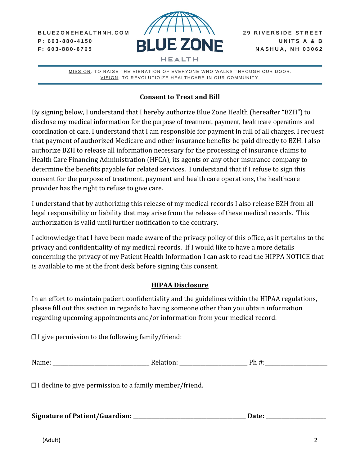BLUEZONEHEALTHNH.COM  $P: 603 - 880 - 4150$  $F: 603 - 880 - 6765$ 



MISSION: TO RAISE THE VIBRATION OF EVERYONE WHO WALKS THROUGH OUR DOOR. VISION: TO REVOLUTIOIZE HEALTHCARE IN OUR COMMUNITY.

## **Consent to Treat and Bill**

By signing below, I understand that I hereby authorize Blue Zone Health (hereafter "BZH") to disclose my medical information for the purpose of treatment, payment, healthcare operations and coordination of care. I understand that I am responsible for payment in full of all charges. I request that payment of authorized Medicare and other insurance benefits be paid directly to BZH. I also authorize BZH to release all information necessary for the processing of insurance claims to Health Care Financing Administration (HFCA), its agents or any other insurance company to determine the benefits payable for related services. I understand that if I refuse to sign this consent for the purpose of treatment, payment and health care operations, the healthcare provider has the right to refuse to give care.

I understand that by authorizing this release of my medical records I also release BZH from all legal responsibility or liability that may arise from the release of these medical records. This authorization is valid until further notification to the contrary.

I acknowledge that I have been made aware of the privacy policy of this office, as it pertains to the privacy and confidentiality of my medical records. If I would like to have a more details concerning the privacy of my Patient Health Information I can ask to read the HIPPA NOTICE that is available to me at the front desk before signing this consent.

## **HIPAA Disclosure**

In an effort to maintain patient confidentiality and the guidelines within the HIPAA regulations, please fill out this section in regards to having someone other than you obtain information regarding upcoming appointments and/or information from your medical record.

 $\Box$  I give permission to the following family/friend:

| Name: | D. | nl.<br>. |
|-------|----|----------|
|       |    |          |
|       |    |          |

☐ I decline to give permission to a family member/friend.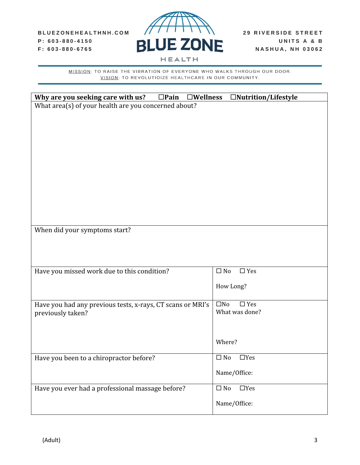

| Why are you seeking care with us?                          | $\square$ Pain<br>$\square$ Wellness | $\Box$ Nutrition/Lifestyle    |
|------------------------------------------------------------|--------------------------------------|-------------------------------|
| What area(s) of your health are you concerned about?       |                                      |                               |
|                                                            |                                      |                               |
|                                                            |                                      |                               |
|                                                            |                                      |                               |
|                                                            |                                      |                               |
|                                                            |                                      |                               |
|                                                            |                                      |                               |
|                                                            |                                      |                               |
|                                                            |                                      |                               |
|                                                            |                                      |                               |
|                                                            |                                      |                               |
|                                                            |                                      |                               |
| When did your symptoms start?                              |                                      |                               |
|                                                            |                                      |                               |
|                                                            |                                      |                               |
|                                                            |                                      |                               |
| Have you missed work due to this condition?                |                                      | $\square$ Yes<br>$\square$ No |
|                                                            |                                      | How Long?                     |
|                                                            |                                      |                               |
| Have you had any previous tests, x-rays, CT scans or MRI's |                                      | $\square$ No<br>$\Box$ Yes    |
| previously taken?                                          |                                      | What was done?                |
|                                                            |                                      |                               |
|                                                            |                                      |                               |
|                                                            |                                      | Where?                        |
| Have you been to a chiropractor before?                    |                                      | $\Box$ No<br>$\Box$ Yes       |
|                                                            |                                      |                               |
|                                                            |                                      | Name/Office:                  |
| Have you ever had a professional massage before?           |                                      | $\Box$ No<br>$\Box$ Yes       |
|                                                            |                                      |                               |
|                                                            |                                      | Name/Office:                  |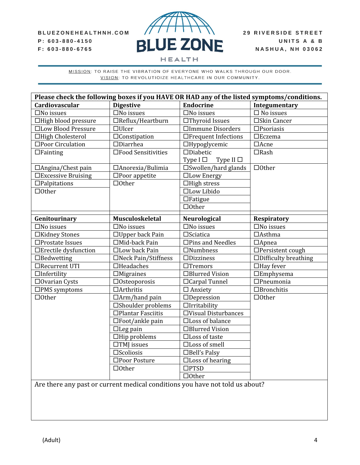## BLUEZONEHEALTHNH.COM P: 603-880-4150

F: 603-880-6765



| Please check the following boxes if you HAVE OR HAD any of the listed symptoms/conditions. |                             |                                 |                             |
|--------------------------------------------------------------------------------------------|-----------------------------|---------------------------------|-----------------------------|
| Cardiovascular                                                                             | <b>Digestive</b>            | <b>Endocrine</b>                | Integumentary               |
| $\square$ No issues                                                                        | $\square$ No issues         | $\square$ No issues             | $\Box$ No issues            |
| □High blood pressure                                                                       | $\Box$ Reflux/Heartburn     | □Thyroid Issues                 | □Skin Cancer                |
| □Low Blood Pressure                                                                        | $\Box$ Ulcer                | □Immune Disorders               | $\square$ Psoriasis         |
| □High Cholesterol                                                                          | $\Box$ Constipation         | □Frequent Infections            | $\square$ Eczema            |
| □Poor Circulation                                                                          | $\Box$ Diarrhea             | $\Box$ Hypoglycemic             | $\Box$ Acne                 |
| $\Box$ Fainting                                                                            | □Food Sensitivities         | $\square$ Diabetic              | $\Box$ Rash                 |
|                                                                                            |                             | Type $I \Box$<br>Type II $\Box$ |                             |
| $\Box$ Angina/Chest pain                                                                   | □ Anorexia/Bulimia          | $\square$ Swollen/hard glands   | $\Box$ Other                |
| □Excessive Bruising                                                                        | $\square$ Poor appetite     | □Low Energy                     |                             |
| $\Box$ Palpitations                                                                        | $\Box$ Other                | $\Box$ High stress              |                             |
| $\Box$ Other                                                                               |                             | □Low Libido                     |                             |
|                                                                                            |                             | $\Box$ Fatigue                  |                             |
|                                                                                            |                             | $\Box$ Other                    |                             |
| Genitourinary                                                                              | Musculoskeletal             | Neurological                    | <b>Respiratory</b>          |
| $\square$ No issues                                                                        | $\square$ No issues         | $\square$ No issues             | $\square$ No issues         |
| □Kidney Stones                                                                             | $\Box$ Upper back Pain      | $\square$ Sciatica              | $\Box$ Asthma               |
| $\square$ Prostate Issues                                                                  | $\Box$ Mid-back Pain        | $\Box$ Pins and Needles         | $\Box$ Apnea                |
| □Erectile dysfunction                                                                      | □Low back Pain              | $\Box$ Numbness                 | □Persistent cough           |
| $\Box$ Bedwetting                                                                          | □Neck Pain/Stiffness        | $\Box$ Dizziness                | $\Box$ Difficulty breathing |
| □Recurrent UTI                                                                             | $\Box$ Headaches            | $\Box$ Tremors                  | $\Box$ Hay fever            |
| $\Box$ Infertility                                                                         | $\Box$ Migraines            | □Blurred Vision                 | $E$ Emphysema               |
| $\Box$ Ovarian Cysts                                                                       | $\Box$ Osteoporosis         | □ Carpal Tunnel                 | $\Box$ Pneumonia            |
| $\square$ PMS symptoms                                                                     | $\Box$ Arthritis            | $\Box$ Anxiety                  | $\Box$ Bronchitis           |
| $\Box$ Other                                                                               | $\Box$ Arm/hand pain        | $\Box$ Depression               | $\Box$ Other                |
|                                                                                            | $\square$ Shoulder problems | $\Box$ Irritability             |                             |
|                                                                                            | □Plantar Fasciitis          | □Visual Disturbances            |                             |
|                                                                                            | $\square$ Foot/ankle pain   | □Loss of balance                |                             |
|                                                                                            | $\Box$ Leg pain             | □Blurred Vision                 |                             |
|                                                                                            | $\Box$ Hip problems         | $\Box$ Loss of taste            |                             |
|                                                                                            | $\Box$ TMJ issues           | $\Box$ Loss of smell            |                             |
|                                                                                            | $\square$ Scoliosis         | $\Box$ Bell's Palsy             |                             |
|                                                                                            | □Poor Posture               | $\Box$ Loss of hearing          |                             |
|                                                                                            | $\Box$ Other                | $\square$ PTSD                  |                             |
|                                                                                            |                             | $\Box$ Other                    |                             |
| Are there any past or current medical conditions you have not told us about?               |                             |                                 |                             |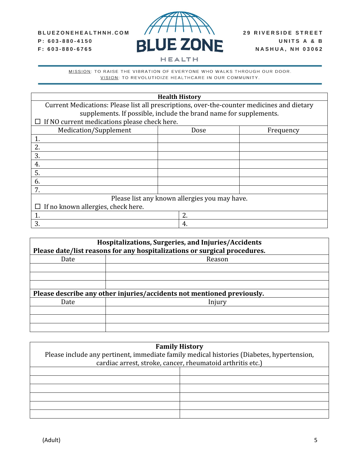

| <b>Health History</b>                                                                      |      |           |  |  |
|--------------------------------------------------------------------------------------------|------|-----------|--|--|
| Current Medications: Please list all prescriptions, over-the-counter medicines and dietary |      |           |  |  |
| supplements. If possible, include the brand name for supplements.                          |      |           |  |  |
| $\Box$ If NO current medications please check here.                                        |      |           |  |  |
| Medication/Supplement                                                                      | Dose | Frequency |  |  |
| 1.                                                                                         |      |           |  |  |
| 2.                                                                                         |      |           |  |  |
| 3.                                                                                         |      |           |  |  |
| 4.                                                                                         |      |           |  |  |
| 5.                                                                                         |      |           |  |  |
| 6.                                                                                         |      |           |  |  |
| 7.                                                                                         |      |           |  |  |
| Please list any known allergies you may have.                                              |      |           |  |  |
| If no known allergies, check here.<br>ப                                                    |      |           |  |  |
| 1.                                                                                         | 2.   |           |  |  |
| 3.                                                                                         | 4.   |           |  |  |

| Hospitalizations, Surgeries, and Injuries/Accidents<br>Please date/list reasons for any hospitalizations or surgical procedures. |        |  |
|----------------------------------------------------------------------------------------------------------------------------------|--------|--|
| Date                                                                                                                             | Reason |  |
|                                                                                                                                  |        |  |
| Please describe any other injuries/accidents not mentioned previously.                                                           |        |  |
| Date                                                                                                                             | Injury |  |
|                                                                                                                                  |        |  |
|                                                                                                                                  |        |  |
|                                                                                                                                  |        |  |

| <b>Family History</b>                                                                     |  |  |  |
|-------------------------------------------------------------------------------------------|--|--|--|
| Please include any pertinent, immediate family medical histories (Diabetes, hypertension, |  |  |  |
| cardiac arrest, stroke, cancer, rheumatoid arthritis etc.)                                |  |  |  |
|                                                                                           |  |  |  |
|                                                                                           |  |  |  |
|                                                                                           |  |  |  |
|                                                                                           |  |  |  |
|                                                                                           |  |  |  |
|                                                                                           |  |  |  |